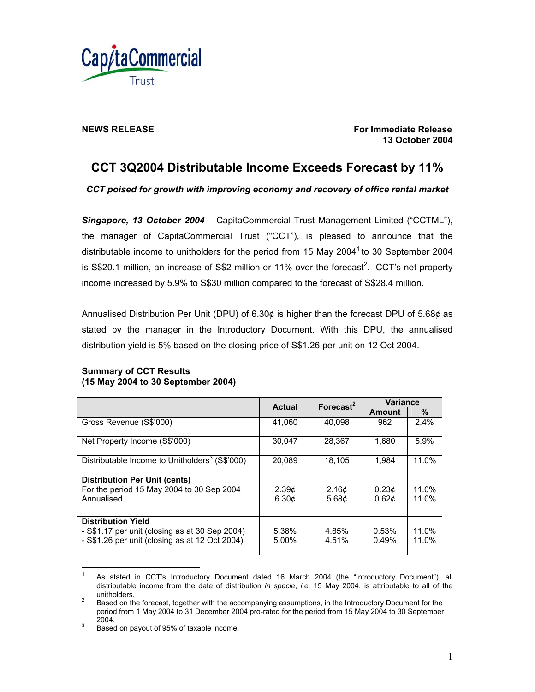

**NEWS RELEASE For Immediate Release For Immediate Release 13 October 2004** 

# **CCT 3Q2004 Distributable Income Exceeds Forecast by 11%**

*CCT poised for growth with improving economy and recovery of office rental market* 

*Singapore, 13 October 2004* – CapitaCommercial Trust Management Limited ("CCTML"), the manager of CapitaCommercial Trust ("CCT"), is pleased to announce that the distributable income to unitholders for the period from 15 May 2004<sup>1</sup> to 30 September 2004 is S\$20.1 million, an increase of S\$2 million or 11% over the forecast<sup>2</sup>. CCT's net property income increased by 5.9% to S\$30 million compared to the forecast of S\$28.4 million.

Annualised Distribution Per Unit (DPU) of 6.30¢ is higher than the forecast DPU of 5.68¢ as stated by the manager in the Introductory Document. With this DPU, the annualised distribution yield is 5% based on the closing price of S\$1.26 per unit on 12 Oct 2004.

|                                                                                                  | Actual                                 | Forecast <sup>2</sup>                  | <b>Variance</b>                        |                |
|--------------------------------------------------------------------------------------------------|----------------------------------------|----------------------------------------|----------------------------------------|----------------|
|                                                                                                  |                                        |                                        | Amount                                 | $\%$           |
| Gross Revenue (S\$'000)                                                                          | 41.060                                 | 40.098                                 | 962                                    | 2.4%           |
| Net Property Income (S\$'000)                                                                    | 30,047                                 | 28,367                                 | 1,680                                  | 5.9%           |
| Distributable Income to Unitholders <sup>3</sup> (S\$'000)                                       | 20,089                                 | 18,105                                 | 1.984                                  | 11.0%          |
| <b>Distribution Per Unit (cents)</b>                                                             |                                        |                                        |                                        |                |
| For the period 15 May 2004 to 30 Sep 2004<br>Annualised                                          | 2.39 <sub>c</sub><br>6.30 <sub>c</sub> | 2.16 <sub>c</sub><br>5.68 <sub>c</sub> | 0.23 <sub>c</sub><br>0.62 <sub>c</sub> | 11.0%<br>11.0% |
| <b>Distribution Yield</b>                                                                        |                                        |                                        |                                        |                |
| - S\$1.17 per unit (closing as at 30 Sep 2004)<br>- S\$1.26 per unit (closing as at 12 Oct 2004) | 5.38%<br>5.00%                         | 4.85%<br>4.51%                         | 0.53%<br>0.49%                         | 11.0%<br>11.0% |

# **Summary of CCT Results (15 May 2004 to 30 September 2004)**

 $\frac{1}{1}$  As stated in CCT's Introductory Document dated 16 March 2004 (the "Introductory Document"), all distributable income from the date of distribution *in specie*, *i.e.* 15 May 2004, is attributable to all of the unitholders.

Based on the forecast, together with the accompanying assumptions, in the Introductory Document for the period from 1 May 2004 to 31 December 2004 pro-rated for the period from 15 May 2004 to 30 September  $2004.$ 

Based on payout of 95% of taxable income.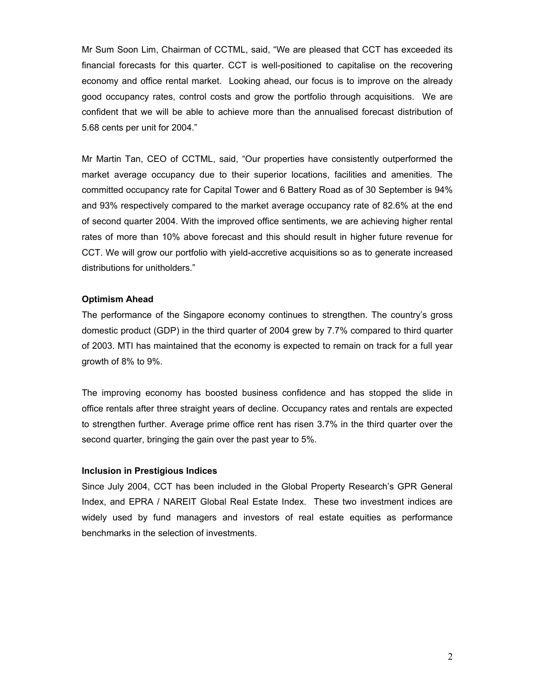Mr Sum Soon Lim, Chairman of CCTML, said, "We are pleased that CCT has exceeded its financial forecasts for this quarter. CCT is well-positioned to capitalise on the recovering economy and office rental market. Looking ahead, our focus is to improve on the already good occupancy rates, control costs and grow the portfolio through acquisitions. We are confident that we will be able to achieve more than the annualised forecast distribution of 5.68 cents per unit for 2004."

Mr Martin Tan, CEO of CCTML, said, "Our properties have consistently outperformed the market average occupancy due to their superior locations, facilities and amenities. The committed occupancy rate for Capital Tower and 6 Battery Road as of 30 September is 94% and 93% respectively compared to the market average occupancy rate of 82.6% at the end of second quarter 2004. With the improved office sentiments, we are achieving higher rental rates of more than 10% above forecast and this should result in higher future revenue for CCT. We will grow our portfolio with yield-accretive acquisitions so as to generate increased distributions for unitholders."

#### **Optimism Ahead**

The performance of the Singapore economy continues to strengthen. The country's gross domestic product (GDP) in the third quarter of 2004 grew by 7.7% compared to third quarter of 2003. MTI has maintained that the economy is expected to remain on track for a full year growth of 8% to 9%.

The improving economy has boosted business confidence and has stopped the slide in office rentals after three straight years of decline. Occupancy rates and rentals are expected to strengthen further. Average prime office rent has risen 3.7% in the third quarter over the second quarter, bringing the gain over the past year to 5%.

### **Inclusion in Prestigious Indices**

Since July 2004, CCT has been included in the Global Property Research's GPR General Index, and EPRA / NAREIT Global Real Estate Index. These two investment indices are widely used by fund managers and investors of real estate equities as performance benchmarks in the selection of investments.